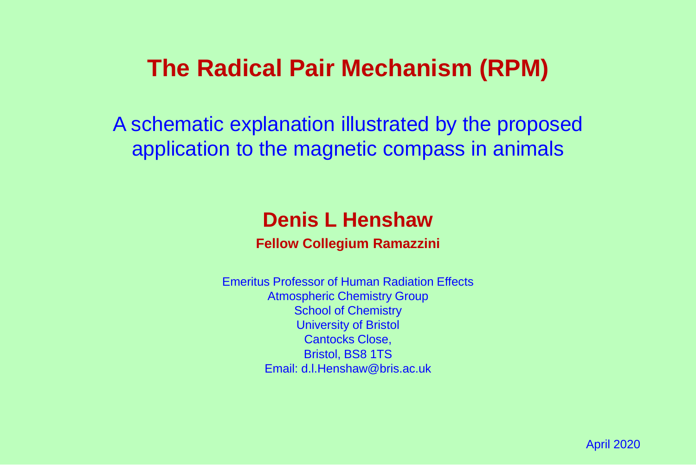# **The Radical Pair Mechanism (RPM)**

A schematic explanation illustrated by the proposed application to the magnetic compass in animals

## **Denis L Henshaw**

**Fellow Collegium Ramazzini**

Emeritus Professor of Human Radiation Effects Atmospheric Chemistry Group School of Chemistry University of Bristol Cantocks Close, Bristol, BS8 1TS Email: d.l.Henshaw@bris.ac.uk

April 2020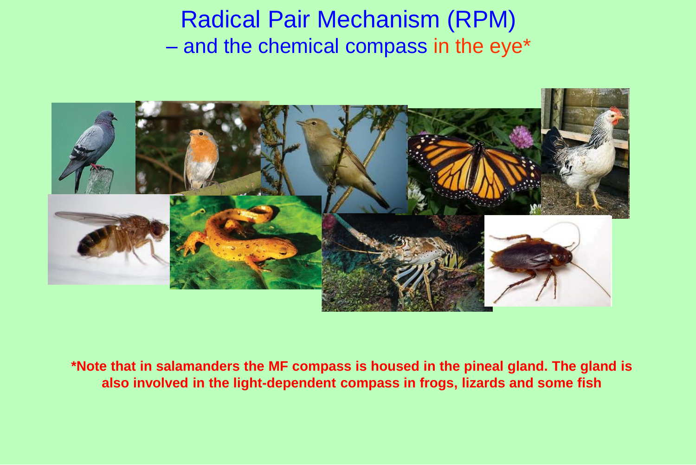# Radical Pair Mechanism (RPM) – and the chemical compass in the eye\*



**\*Note that in salamanders the MF compass is housed in the pineal gland. The gland is also involved in the light-dependent compass in frogs, lizards and some fish**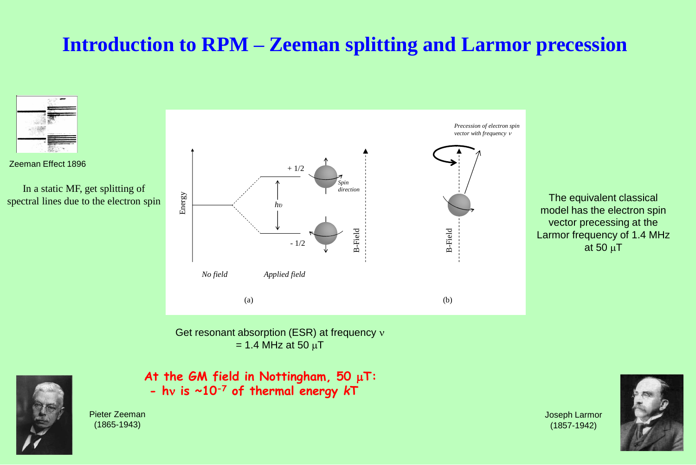## **Introduction to RPM – Zeeman splitting and Larmor precession**





Pieter Zeeman (1865-1943)

Joseph Larmor (1857-1942)

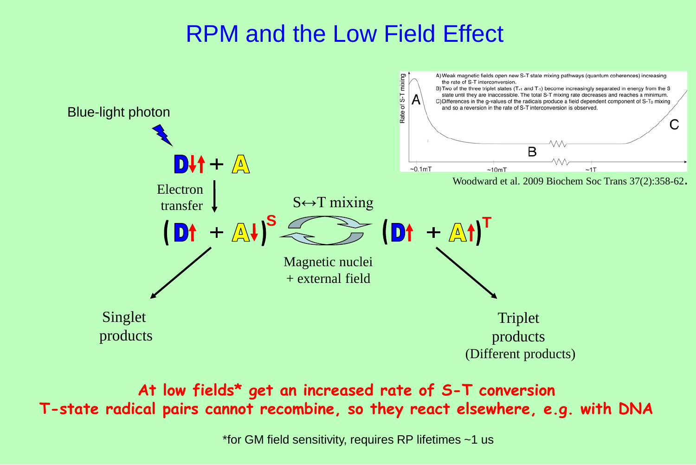# RPM and the Low Field Effect



**At low fields\* get an increased rate of S-T conversion T-state radical pairs cannot recombine, so they react elsewhere, e.g. with DNA**

\*for GM field sensitivity, requires RP lifetimes ~1 us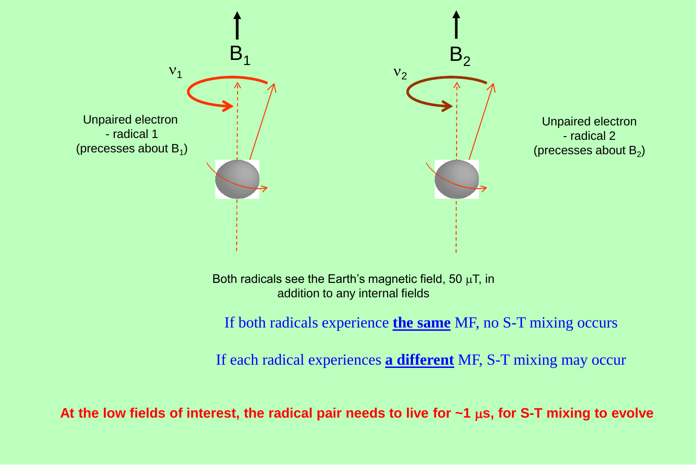

Both radicals see the Earth's magnetic field, 50  $\mu$ T, in addition to any internal fields

If both radicals experience **the same** MF, no S-T mixing occurs

If each radical experiences **a different** MF, S-T mixing may occur

At the low fields of interest, the radical pair needs to live for ~1  $\mu$ s, for S-T mixing to evolve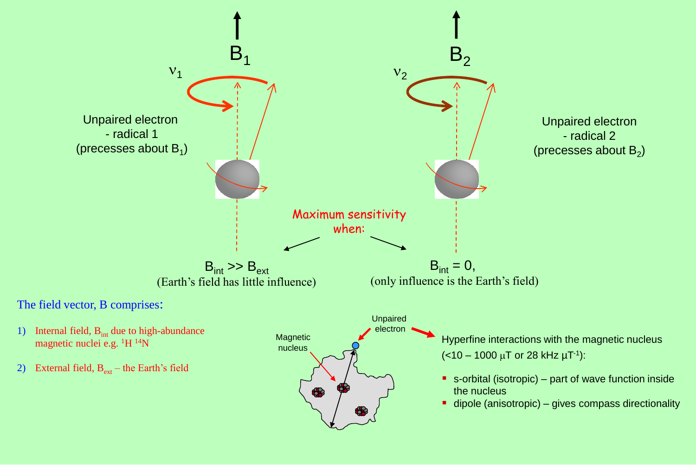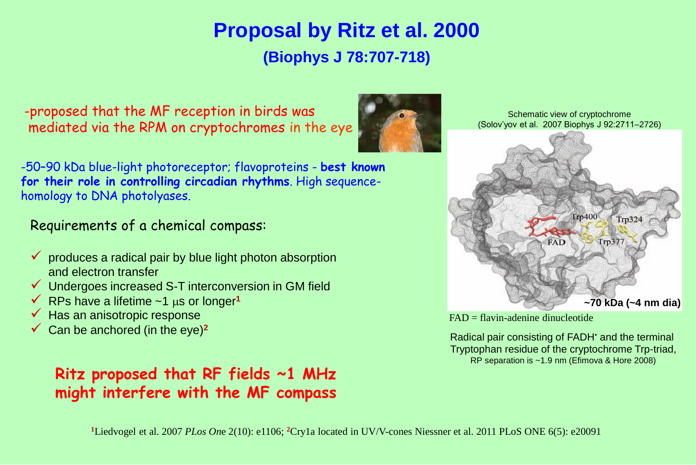## **Proposal by Ritz et al. 2000 (Biophys J 78:707-718)**

-proposed that the MF reception in birds was mediated via the RPM on cryptochromes in the eye



Schematic view of cryptochrome (Solov'yov et al. 2007 Biophys J 92:2711–2726)



FAD = flavin-adenine dinucleotide

Radical pair consisting of FADH<sup> $\cdot$ </sup> and the terminal Tryptophan residue of the cryptochrome Trp-triad, RP separation is ~1.9 nm (Efimova & Hore 2008)

-50–90 kDa blue-light photoreceptor; flavoproteins - **best known for their role in controlling circadian rhythms**. High sequencehomology to DNA photolyases.

### Requirements of a chemical compass:

- $\checkmark$  produces a radical pair by blue light photon absorption and electron transfer
- $\checkmark$  Undergoes increased S-T interconversion in GM field
- $\checkmark$  RPs have a lifetime ~1 us or longer<sup>1</sup>
- Has an anisotropic response
- $\checkmark$  Can be anchored (in the eye)<sup>2</sup>

### **Ritz proposed that RF fields ~1 MHz might interfere with the MF compass**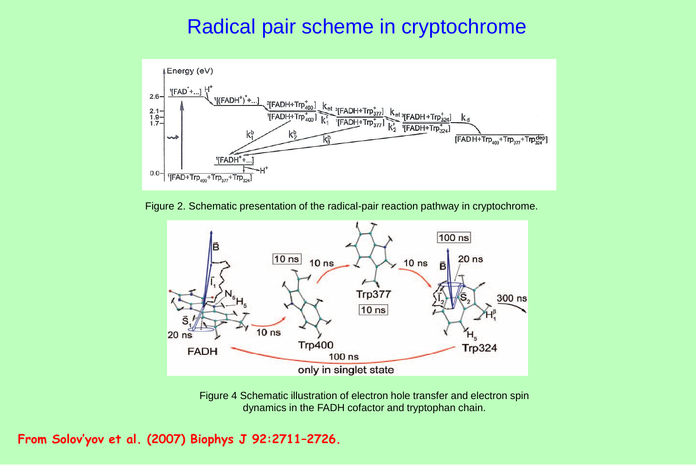### Radical pair scheme in cryptochrome



Figure 2. Schematic presentation of the radical-pair reaction pathway in cryptochrome.



Figure 4 Schematic illustration of electron hole transfer and electron spin dynamics in the FADH cofactor and tryptophan chain.

**From Solov'yov et al. (2007) Biophys J 92:2711–2726.**